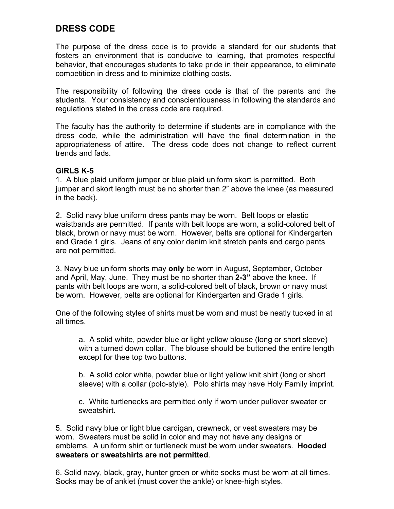# **DRESS CODE**

The purpose of the dress code is to provide a standard for our students that fosters an environment that is conducive to learning, that promotes respectful behavior, that encourages students to take pride in their appearance, to eliminate competition in dress and to minimize clothing costs.

The responsibility of following the dress code is that of the parents and the students. Your consistency and conscientiousness in following the standards and regulations stated in the dress code are required.

The faculty has the authority to determine if students are in compliance with the dress code, while the administration will have the final determination in the appropriateness of attire. The dress code does not change to reflect current trends and fads.

# **GIRLS K-5**

1. A blue plaid uniform jumper or blue plaid uniform skort is permitted. Both jumper and skort length must be no shorter than 2" above the knee (as measured in the back).

2. Solid navy blue uniform dress pants may be worn. Belt loops or elastic waistbands are permitted. If pants with belt loops are worn, a solid-colored belt of black, brown or navy must be worn. However, belts are optional for Kindergarten and Grade 1 girls. Jeans of any color denim knit stretch pants and cargo pants are not permitted.

3. Navy blue uniform shorts may **only** be worn in August, September, October and April, May, June. They must be no shorter than **2-3"** above the knee. If pants with belt loops are worn, a solid-colored belt of black, brown or navy must be worn. However, belts are optional for Kindergarten and Grade 1 girls.

One of the following styles of shirts must be worn and must be neatly tucked in at all times.

a. A solid white, powder blue or light yellow blouse (long or short sleeve) with a turned down collar. The blouse should be buttoned the entire length except for thee top two buttons.

b. A solid color white, powder blue or light yellow knit shirt (long or short sleeve) with a collar (polo-style). Polo shirts may have Holy Family imprint.

c. White turtlenecks are permitted only if worn under pullover sweater or sweatshirt.

5. Solid navy blue or light blue cardigan, crewneck, or vest sweaters may be worn. Sweaters must be solid in color and may not have any designs or emblems. A uniform shirt or turtleneck must be worn under sweaters. **Hooded sweaters or sweatshirts are not permitted**.

6. Solid navy, black, gray, hunter green or white socks must be worn at all times. Socks may be of anklet (must cover the ankle) or knee-high styles.